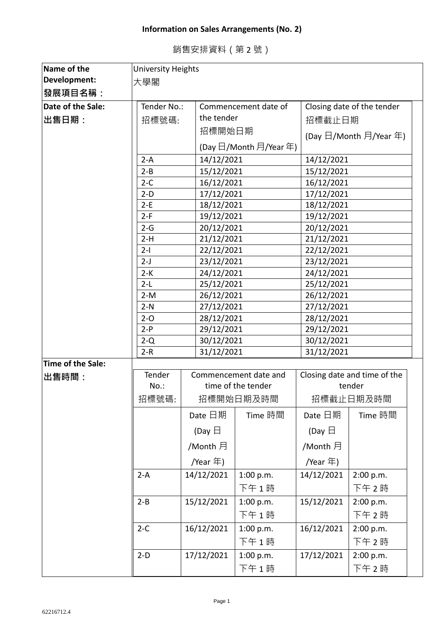## **Information on Sales Arrangements (No. 2)**

| Name of the       | <b>University Heights</b> |                                     |                        |                            |                                          |  |
|-------------------|---------------------------|-------------------------------------|------------------------|----------------------------|------------------------------------------|--|
| Development:      | 大學閣                       |                                     |                        |                            |                                          |  |
| 發展項目名稱:           |                           |                                     |                        |                            |                                          |  |
| Date of the Sale: |                           | Tender No.:<br>Commencement date of |                        | Closing date of the tender |                                          |  |
| 出售日期:             | 招標號碼:                     |                                     | the tender             |                            | 招標截止日期                                   |  |
|                   |                           |                                     | 招標開始日期                 |                            | (Day $\boxdot$ /Month $\boxdot$ /Year 年) |  |
|                   |                           |                                     | (Day 日/Month 月/Year 年) |                            |                                          |  |
|                   | $2-A$                     |                                     | 14/12/2021             |                            | 14/12/2021                               |  |
|                   | $2 - B$                   |                                     | 15/12/2021             |                            | 15/12/2021                               |  |
|                   | $2-C$                     |                                     | 16/12/2021             |                            | 16/12/2021                               |  |
|                   | $2-D$                     |                                     | 17/12/2021             |                            | 17/12/2021                               |  |
|                   | $2-E$                     |                                     | 18/12/2021             |                            | 18/12/2021                               |  |
|                   | $2-F$                     | 19/12/2021                          |                        | 19/12/2021                 |                                          |  |
|                   | $2-G$                     | 20/12/2021                          |                        | 20/12/2021                 |                                          |  |
|                   | $2-H$                     |                                     | 21/12/2021             |                            | 21/12/2021                               |  |
|                   | $2-I$                     |                                     | 22/12/2021             |                            | 22/12/2021                               |  |
|                   | $2-J$                     |                                     | 23/12/2021             |                            | 23/12/2021                               |  |
|                   | $2-K$                     | 24/12/2021                          |                        | 24/12/2021                 |                                          |  |
|                   | $2-L$                     |                                     | 25/12/2021             |                            | 25/12/2021                               |  |
|                   | $2-M$                     |                                     | 26/12/2021             |                            | 26/12/2021                               |  |
|                   | $2-N$                     | 27/12/2021                          |                        | 27/12/2021                 |                                          |  |
|                   | $2 - 0$                   |                                     | 28/12/2021             |                            | 28/12/2021                               |  |
|                   | $2-P$                     |                                     | 29/12/2021             |                            | 29/12/2021                               |  |
|                   | $2-Q$                     |                                     | 30/12/2021             |                            | 30/12/2021                               |  |
|                   |                           | $2-R$<br>31/12/2021                 |                        | 31/12/2021                 |                                          |  |
| Time of the Sale: |                           |                                     |                        |                            |                                          |  |
| 出售時間:             | Tender                    |                                     | Commencement date and  |                            | Closing date and time of the             |  |
|                   | $No.$ :                   |                                     | time of the tender     |                            | tender                                   |  |
|                   | 招標號碼:                     |                                     | 招標開始日期及時間              |                            | 招標截止日期及時間                                |  |
|                   |                           | Date 日期                             | Time 時間                | Date 日期                    | Time 時間                                  |  |
|                   |                           | (Day $\boxminus$                    |                        | (Day $\boxminus$           |                                          |  |
|                   |                           | /Month 月                            |                        | /Month 月                   |                                          |  |
|                   |                           | /Year $\pm$ )                       |                        | /Year 年)                   |                                          |  |
|                   | $2-A$                     | 14/12/2021                          | 1:00 p.m.              | 14/12/2021                 | 2:00 p.m.                                |  |
|                   |                           |                                     | 下午1時                   |                            | 下午 2時                                    |  |
|                   | $2 - B$                   | 15/12/2021                          | 1:00 p.m.              | 15/12/2021                 | 2:00 p.m.                                |  |
|                   |                           |                                     | 下午1時                   |                            | 下午2時                                     |  |
|                   | $2-C$                     | 16/12/2021                          | 1:00 p.m.              | 16/12/2021                 | 2:00 p.m.                                |  |
|                   |                           |                                     | 下午1時                   |                            | 下午2時                                     |  |
|                   | $2-D$                     | 17/12/2021                          | 1:00 p.m.              | 17/12/2021                 | 2:00 p.m.                                |  |
|                   |                           |                                     | 下午1時                   |                            | 下午2時                                     |  |

## 銷售安排資料(第 2 號)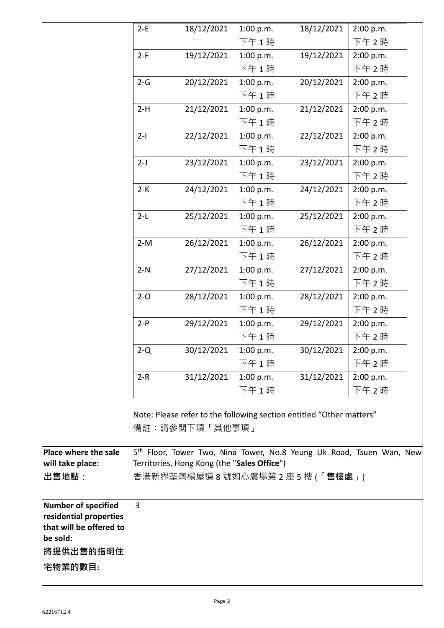|                         | $2-E$                                                                                                                           | 18/12/2021 | 1:00 p.m. | 18/12/2021 | 2:00 p.m. |
|-------------------------|---------------------------------------------------------------------------------------------------------------------------------|------------|-----------|------------|-----------|
|                         |                                                                                                                                 |            | 下午1時      |            | 下午2時      |
|                         | $2-F$                                                                                                                           | 19/12/2021 | 1:00 p.m. | 19/12/2021 | 2:00 p.m. |
|                         |                                                                                                                                 |            | 下午1時      |            | 下午2時      |
|                         | $2-G$                                                                                                                           | 20/12/2021 | 1:00 p.m. | 20/12/2021 | 2:00 p.m. |
|                         |                                                                                                                                 |            | 下午1時      |            | 下午 2時     |
|                         | $2-H$                                                                                                                           | 21/12/2021 | 1:00 p.m. | 21/12/2021 | 2:00 p.m. |
|                         |                                                                                                                                 |            | 下午1時      |            | 下午 2時     |
|                         | $2-I$                                                                                                                           | 22/12/2021 | 1:00 p.m. | 22/12/2021 | 2:00 p.m. |
|                         |                                                                                                                                 |            | 下午1時      |            | 下午 2時     |
|                         | $2-J$                                                                                                                           | 23/12/2021 | 1:00 p.m. | 23/12/2021 | 2:00 p.m. |
|                         |                                                                                                                                 |            | 下午1時      |            | 下午 2時     |
|                         | $2-K$                                                                                                                           | 24/12/2021 | 1:00 p.m. | 24/12/2021 | 2:00 p.m. |
|                         |                                                                                                                                 |            | 下午1時      |            | 下午 2時     |
|                         | $2-L$                                                                                                                           | 25/12/2021 | 1:00 p.m. | 25/12/2021 | 2:00 p.m. |
|                         |                                                                                                                                 |            | 下午1時      |            | 下午2時      |
|                         | $2-M$                                                                                                                           | 26/12/2021 | 1:00 p.m. | 26/12/2021 | 2:00 p.m. |
|                         |                                                                                                                                 |            | 下午1時      |            | 下午 2時     |
|                         | $2-N$                                                                                                                           | 27/12/2021 | 1:00 p.m. | 27/12/2021 | 2:00 p.m. |
|                         |                                                                                                                                 |            | 下午1時      |            | 下午2時      |
|                         | $2 - 0$                                                                                                                         | 28/12/2021 | 1:00 p.m. | 28/12/2021 | 2:00 p.m. |
|                         |                                                                                                                                 |            | 下午1時      |            | 下午2時      |
|                         | $2-P$                                                                                                                           | 29/12/2021 | 1:00 p.m. | 29/12/2021 | 2:00 p.m. |
|                         |                                                                                                                                 |            | 下午1時      |            | 下午2時      |
|                         | $2-Q$                                                                                                                           | 30/12/2021 | 1:00 p.m. | 30/12/2021 | 2:00 p.m. |
|                         |                                                                                                                                 |            | 下午1時      |            | 下午 2時     |
|                         | $2-R$                                                                                                                           | 31/12/2021 | 1:00 p.m. | 31/12/2021 | 2:00 p.m. |
|                         |                                                                                                                                 |            | 下午1時      |            | 下午 2時     |
|                         |                                                                                                                                 |            |           |            |           |
|                         | Note: Please refer to the following section entitled "Other matters"                                                            |            |           |            |           |
|                         | 備註:請參閱下項「其他事項」                                                                                                                  |            |           |            |           |
| Place where the sale    |                                                                                                                                 |            |           |            |           |
| will take place:        | 5 <sup>th</sup> Floor, Tower Two, Nina Tower, No.8 Yeung Uk Road, Tsuen Wan, New<br>Territories, Hong Kong (the "Sales Office") |            |           |            |           |
| ∣出售地點:                  | 香港新界荃灣楊屋道 8 號如心廣場第 2 座 5 樓 (「 <b>售樓處</b> 」)                                                                                     |            |           |            |           |
|                         |                                                                                                                                 |            |           |            |           |
| Number of specified     | $\overline{3}$                                                                                                                  |            |           |            |           |
| residential properties  |                                                                                                                                 |            |           |            |           |
| that will be offered to |                                                                                                                                 |            |           |            |           |
| be sold:                |                                                                                                                                 |            |           |            |           |
| 將提供出售的指明住               |                                                                                                                                 |            |           |            |           |
| 宅物業的數目:                 |                                                                                                                                 |            |           |            |           |
|                         |                                                                                                                                 |            |           |            |           |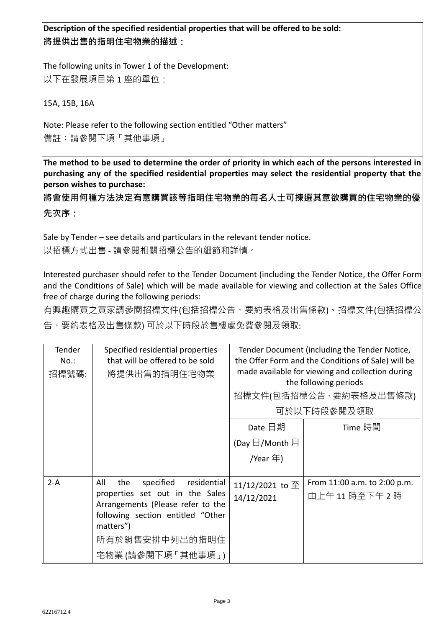**Description of the specified residential properties that will be offered to be sold: 將提供出售的指明住宅物業的描述:**

The following units in Tower 1 of the Development: 以下在發展項目第1座的單位:

15A, 15B, 16A

Note: Please refer to the following section entitled "Other matters" 備註︰請參閱下項「其他事項」

**The method to be used to determine the order of priority in which each of the persons interested in purchasing any of the specified residential properties may select the residential property that the person wishes to purchase:** 

**將會使用何種方法決定有意購買該等指明住宅物業的每名人士可揀選其意欲購買的住宅物業的優 先次序:**

Sale by Tender – see details and particulars in the relevant tender notice.

以招標方式出售 - 請參閱相關招標公告的細節和詳情。

Interested purchaser should refer to the Tender Document (including the Tender Notice, the Offer Form and the Conditions of Sale) which will be made available for viewing and collection at the Sales Office free of charge during the following periods:

有興趣購買之買家請參閱招標文件(包括招標公告、要約表格及出售條款)。招標文件(包括招標公 告、要約表格及出售條款) 可於以下時段於售樓處免費參閱及領取:

| Tender<br>$No.$ :<br>招標號碼: | Specified residential properties<br>that will be offered to be sold<br>將提供出售的指明住宅物業                                                                                                                     | Tender Document (including the Tender Notice,<br>the Offer Form and the Conditions of Sale) will be<br>made available for viewing and collection during<br>the following periods<br>招標文件(包括招標公告、要約表格及出售條款)<br>可於以下時段參閱及領取 |                                                 |
|----------------------------|---------------------------------------------------------------------------------------------------------------------------------------------------------------------------------------------------------|---------------------------------------------------------------------------------------------------------------------------------------------------------------------------------------------------------------------------|-------------------------------------------------|
|                            |                                                                                                                                                                                                         | Date 日期<br>(Day $\boxdot$ /Month 月<br>/Year 年)                                                                                                                                                                            | Time 時間                                         |
| $2-A$                      | All<br>the<br>specified<br>residential<br>properties set out in the Sales<br>Arrangements (Please refer to the<br>following section entitled "Other<br>matters")<br>所有於銷售安排中列出的指明住<br>宅物業 (請參閱下項「其他事項」) | 11/12/2021 to $\overline{\pm}$<br>14/12/2021                                                                                                                                                                              | From 11:00 a.m. to 2:00 p.m.<br>由上午 11 時至下午 2 時 |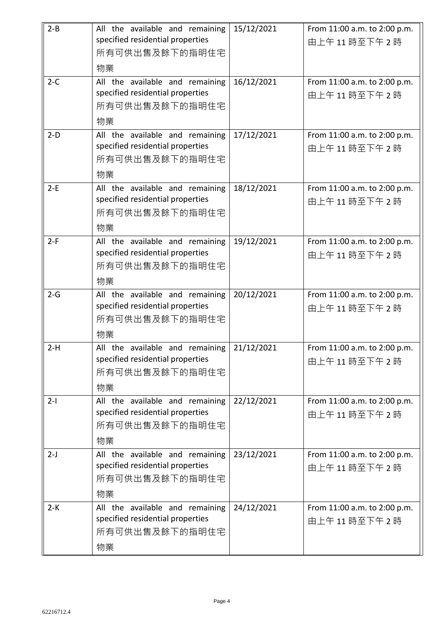| $2 - B$ | All the available and remaining  | 15/12/2021 | From 11:00 a.m. to 2:00 p.m. |
|---------|----------------------------------|------------|------------------------------|
|         | specified residential properties |            | 由上午11時至下午2時                  |
|         | 所有可供出售及餘下的指明住宅                   |            |                              |
|         | 物業                               |            |                              |
| $2-C$   | All the available and remaining  | 16/12/2021 | From 11:00 a.m. to 2:00 p.m. |
|         | specified residential properties |            | 由上午11時至下午2時                  |
|         | 所有可供出售及餘下的指明住宅                   |            |                              |
|         | 物業                               |            |                              |
| $2-D$   | All the available and remaining  | 17/12/2021 | From 11:00 a.m. to 2:00 p.m. |
|         | specified residential properties |            | 由上午11時至下午2時                  |
|         | 所有可供出售及餘下的指明住宅                   |            |                              |
|         | 物業                               |            |                              |
| $2-E$   | All the available and remaining  | 18/12/2021 | From 11:00 a.m. to 2:00 p.m. |
|         | specified residential properties |            | 由上午11時至下午2時                  |
|         | 所有可供出售及餘下的指明住宅                   |            |                              |
|         | 物業                               |            |                              |
| $2-F$   | All the available and remaining  | 19/12/2021 | From 11:00 a.m. to 2:00 p.m. |
|         | specified residential properties |            | 由上午11時至下午2時                  |
|         | 所有可供出售及餘下的指明住宅                   |            |                              |
|         | 物業                               |            |                              |
| $2-G$   | All the available and remaining  | 20/12/2021 | From 11:00 a.m. to 2:00 p.m. |
|         | specified residential properties |            | 由上午11時至下午2時                  |
|         | 所有可供出售及餘下的指明住宅                   |            |                              |
|         | 物業                               |            |                              |
| $2-H$   | All the available and remaining  | 21/12/2021 | From 11:00 a.m. to 2:00 p.m. |
|         | specified residential properties |            | 由上午11時至下午2時                  |
|         | 所有可供出售及餘下的指明住宅                   |            |                              |
|         | 物業                               |            |                              |
| $2-I$   | All the available and remaining  | 22/12/2021 | From 11:00 a.m. to 2:00 p.m. |
|         | specified residential properties |            | 由上午11時至下午2時                  |
|         | 所有可供出售及餘下的指明住宅                   |            |                              |
|         | 物業                               |            |                              |
| $2-J$   | All the available and remaining  | 23/12/2021 | From 11:00 a.m. to 2:00 p.m. |
|         | specified residential properties |            | 由上午11時至下午2時                  |
|         | 所有可供出售及餘下的指明住宅                   |            |                              |
|         | 物業                               |            |                              |
| $2-K$   | All the available and remaining  | 24/12/2021 | From 11:00 a.m. to 2:00 p.m. |
|         | specified residential properties |            | 由上午11時至下午2時                  |
|         | 所有可供出售及餘下的指明住宅                   |            |                              |
|         | 物業                               |            |                              |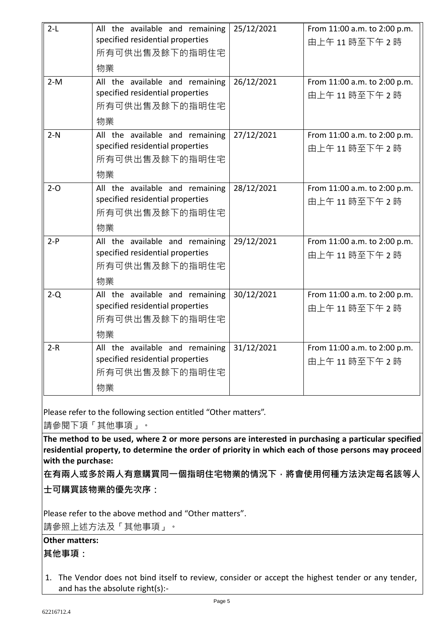| $2-L$   | All the available and remaining  | 25/12/2021 | From 11:00 a.m. to 2:00 p.m. |
|---------|----------------------------------|------------|------------------------------|
|         | specified residential properties |            | 由上午11時至下午2時                  |
|         | 所有可供出售及餘下的指明住宅                   |            |                              |
|         |                                  |            |                              |
|         | 物業                               |            |                              |
| $2-M$   | All the available and remaining  | 26/12/2021 | From 11:00 a.m. to 2:00 p.m. |
|         | specified residential properties |            | 由上午11時至下午2時                  |
|         | 所有可供出售及餘下的指明住宅                   |            |                              |
|         | 物業                               |            |                              |
| $2-N$   | All the available and remaining  | 27/12/2021 | From 11:00 a.m. to 2:00 p.m. |
|         | specified residential properties |            | 由上午11時至下午2時                  |
|         | 所有可供出售及餘下的指明住宅                   |            |                              |
|         | 物業                               |            |                              |
| $2 - 0$ | All the available and remaining  | 28/12/2021 | From 11:00 a.m. to 2:00 p.m. |
|         | specified residential properties |            | 由上午11時至下午2時                  |
|         | 所有可供出售及餘下的指明住宅                   |            |                              |
|         | 物業                               |            |                              |
| $2-P$   | All the available and remaining  | 29/12/2021 | From 11:00 a.m. to 2:00 p.m. |
|         | specified residential properties |            | 由上午11時至下午2時                  |
|         | 所有可供出售及餘下的指明住宅                   |            |                              |
|         | 物業                               |            |                              |
| $2-Q$   | All the available and remaining  | 30/12/2021 | From 11:00 a.m. to 2:00 p.m. |
|         | specified residential properties |            | 由上午11時至下午2時                  |
|         | 所有可供出售及餘下的指明住宅                   |            |                              |
|         | 物業                               |            |                              |
| $2-R$   | All the available and remaining  | 31/12/2021 | From 11:00 a.m. to 2:00 p.m. |
|         | specified residential properties |            | 由上午11時至下午2時                  |
|         | 所有可供出售及餘下的指明住宅                   |            |                              |
|         | 物業                               |            |                              |

Please refer to the following section entitled "Other matters".

請參閱下項「其他事項」。

**The method to be used, where 2 or more persons are interested in purchasing a particular specified residential property, to determine the order of priority in which each of those persons may proceed with the purchase:**

**在有兩人或多於兩人有意購買同一個指明住宅物業的情況下,將會使用何種方法決定每名該等人 士可購買該物業的優先次序:**

Please refer to the above method and "Other matters".

請參照上述方法及「其他事項」。

## **Other matters:**

## **其他事項:**

1. The Vendor does not bind itself to review, consider or accept the highest tender or any tender, and has the absolute right(s):-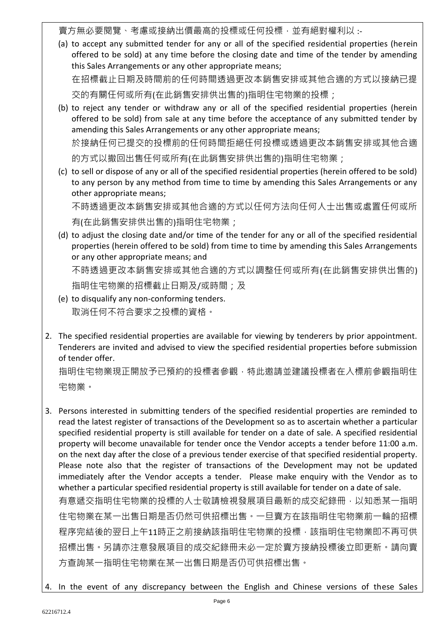賣方無必要閱覽、考慮或接納出價最高的投標或任何投標,並有絕對權利以 :-

(a) to accept any submitted tender for any or all of the specified residential properties (herein offered to be sold) at any time before the closing date and time of the tender by amending this Sales Arrangements or any other appropriate means; 在招標截止日期及時間前的任何時間透過更改本銷售安排或其他合適的方式以接納已提

交的有關任何或所有(在此銷售安排供出售的)指明住宅物業的投標;

(b) to reject any tender or withdraw any or all of the specified residential properties (herein offered to be sold) from sale at any time before the acceptance of any submitted tender by amending this Sales Arrangements or any other appropriate means; 於接納任何已提交的投標前的任何時間拒絕任何投標或透過更改本銷售安排或其他合適

的方式以撤回出售任何或所有(在此銷售安排供出售的)指明住宅物業;

(c) to sell or dispose of any or all of the specified residential properties (herein offered to be sold) to any person by any method from time to time by amending this Sales Arrangements or any other appropriate means;

不時透過更改本銷售安排或其他合適的方式以任何方法向任何人士出售或處置任何或所 有(在此銷售安排供出售的)指明住宅物業;

(d) to adjust the closing date and/or time of the tender for any or all of the specified residential properties (herein offered to be sold) from time to time by amending this Sales Arrangements or any other appropriate means; and 不時透過更改本銷售安排或其他合適的方式以調整任何或所有(在此銷售安排供出售的)

指明住宅物業的招標截止日期及/或時間;及

- (e) to disqualify any non-conforming tenders. 取消任何不符合要求之投標的資格。
- 2. The specified residential properties are available for viewing by tenderers by prior appointment. Tenderers are invited and advised to view the specified residential properties before submission of tender offer.

指明住宅物業現正開放予已預約的投標者參觀,特此邀請並建議投標者在入標前參觀指明住 宅物業。

- 3. Persons interested in submitting tenders of the specified residential properties are reminded to read the latest register of transactions of the Development so as to ascertain whether a particular specified residential property is still available for tender on a date of sale. A specified residential property will become unavailable for tender once the Vendor accepts a tender before 11:00 a.m. on the next day after the close of a previous tender exercise of that specified residential property. Please note also that the register of transactions of the Development may not be updated immediately after the Vendor accepts a tender. Please make enquiry with the Vendor as to whether a particular specified residential property is still available for tender on a date of sale. 有意遞交指明住宅物業的投標的人士敬請檢視發展項目最新的成交紀錄冊,以知悉某一指明 住宅物業在某一出售日期是否仍然可供招標出售。一旦賣方在該指明住宅物業前一輪的招標 程序完結後的翌日上午11時正之前接納該指明住宅物業的投標,該指明住宅物業即不再可供 招標出售。另請亦注意發展項目的成交紀錄冊未必一定於賣方接納投標後立即更新。請向賣 方查詢某一指明住宅物業在某一出售日期是否仍可供招標出售。
- 4. In the event of any discrepancy between the English and Chinese versions of these Sales